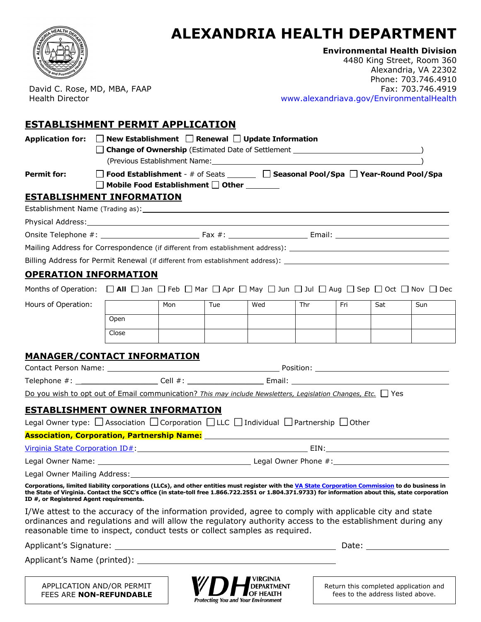

## **ALEXANDRIA HEALTH DEPARTMENT**

**Environmental Health Division** 

David C. Rose, MD, MBA, FAAP Health Director

4480 King Street, Room 360 Alexandria, VA 22302 Phone: 703.746.4910 Fax: 703.746.4919 www.alexandriava.gov/EnvironmentalHealth

## **ESTABLISHMENT PERMIT APPLICATION**

| Application for: $\Box$ New Establishment $\Box$ Renewal $\Box$ Update Information                                                                                                                                                                                                                                                                 |                                                                                                                            | (Previous Establishment Name: University of the Contract of the Contract of the Contract of the Contract of the |     |     |     |     |     |     |  |  |
|----------------------------------------------------------------------------------------------------------------------------------------------------------------------------------------------------------------------------------------------------------------------------------------------------------------------------------------------------|----------------------------------------------------------------------------------------------------------------------------|-----------------------------------------------------------------------------------------------------------------|-----|-----|-----|-----|-----|-----|--|--|
| <b>Permit for:</b>                                                                                                                                                                                                                                                                                                                                 | □ Food Establishment - # of Seats _______ □ Seasonal Pool/Spa □ Year-Round Pool/Spa<br>□ Mobile Food Establishment □ Other |                                                                                                                 |     |     |     |     |     |     |  |  |
| <b>ESTABLISHMENT INFORMATION</b>                                                                                                                                                                                                                                                                                                                   |                                                                                                                            |                                                                                                                 |     |     |     |     |     |     |  |  |
|                                                                                                                                                                                                                                                                                                                                                    |                                                                                                                            |                                                                                                                 |     |     |     |     |     |     |  |  |
|                                                                                                                                                                                                                                                                                                                                                    |                                                                                                                            |                                                                                                                 |     |     |     |     |     |     |  |  |
|                                                                                                                                                                                                                                                                                                                                                    |                                                                                                                            |                                                                                                                 |     |     |     |     |     |     |  |  |
|                                                                                                                                                                                                                                                                                                                                                    |                                                                                                                            |                                                                                                                 |     |     |     |     |     |     |  |  |
| Billing Address for Permit Renewal (if different from establishment address): ________________________________                                                                                                                                                                                                                                     |                                                                                                                            |                                                                                                                 |     |     |     |     |     |     |  |  |
| <u>OPERATION INFORMATION</u>                                                                                                                                                                                                                                                                                                                       |                                                                                                                            |                                                                                                                 |     |     |     |     |     |     |  |  |
| Months of Operation: $\Box$ All $\Box$ Jan $\Box$ Feb $\Box$ Mar $\Box$ Apr $\Box$ May $\Box$ Jun $\Box$ Jul $\Box$ Aug $\Box$ Sep $\Box$ Oct $\Box$ Nov $\Box$ Dec                                                                                                                                                                                |                                                                                                                            |                                                                                                                 |     |     |     |     |     |     |  |  |
| Hours of Operation:                                                                                                                                                                                                                                                                                                                                |                                                                                                                            | Mon                                                                                                             | Tue | Wed | Thr | Fri | Sat | Sun |  |  |
|                                                                                                                                                                                                                                                                                                                                                    | Open                                                                                                                       |                                                                                                                 |     |     |     |     |     |     |  |  |
|                                                                                                                                                                                                                                                                                                                                                    | Close                                                                                                                      |                                                                                                                 |     |     |     |     |     |     |  |  |
|                                                                                                                                                                                                                                                                                                                                                    |                                                                                                                            |                                                                                                                 |     |     |     |     |     |     |  |  |
| <b>MANAGER/CONTACT INFORMATION</b>                                                                                                                                                                                                                                                                                                                 |                                                                                                                            |                                                                                                                 |     |     |     |     |     |     |  |  |
|                                                                                                                                                                                                                                                                                                                                                    |                                                                                                                            |                                                                                                                 |     |     |     |     |     |     |  |  |
| Telephone #: _______________________Cell #: ________________________Email: ___________________________________                                                                                                                                                                                                                                     |                                                                                                                            |                                                                                                                 |     |     |     |     |     |     |  |  |
| Do you wish to opt out of Email communication? This may include Newsletters, Legislation Changes, Etc. Yes                                                                                                                                                                                                                                         |                                                                                                                            |                                                                                                                 |     |     |     |     |     |     |  |  |
| <b>ESTABLISHMENT OWNER INFORMATION</b>                                                                                                                                                                                                                                                                                                             |                                                                                                                            |                                                                                                                 |     |     |     |     |     |     |  |  |
| Legal Owner type: $\Box$ Association $\Box$ Corporation $\Box$ LLC $\Box$ Individual $\Box$ Partnership $\Box$ Other                                                                                                                                                                                                                               |                                                                                                                            |                                                                                                                 |     |     |     |     |     |     |  |  |
|                                                                                                                                                                                                                                                                                                                                                    |                                                                                                                            |                                                                                                                 |     |     |     |     |     |     |  |  |
| Virginia State Corporation ID#: Web and Corporation ID = 10 April 2014 10 April 2014 10:00 April 2014 10:00 April 2014 10:00 April 2014 10:00 April 2014 10:00 April 2014 10:00 April 2014 10:00 April 2014 10:00 April 2014 1                                                                                                                     |                                                                                                                            |                                                                                                                 |     |     |     |     |     |     |  |  |
|                                                                                                                                                                                                                                                                                                                                                    |                                                                                                                            |                                                                                                                 |     |     |     |     |     |     |  |  |
| Corporations, limited liability corporations (LLCs), and other entities must register with the VA State Corporation Commission to do business in<br>the State of Virginia. Contact the SCC's office (in state-toll free 1.866.722.2551 or 1.804.371.9733) for information about this, state corporation<br>ID #, or Registered Agent requirements. |                                                                                                                            |                                                                                                                 |     |     |     |     |     |     |  |  |
| I/We attest to the accuracy of the information provided, agree to comply with applicable city and state<br>ordinances and regulations and will allow the regulatory authority access to the establishment during any<br>reasonable time to inspect, conduct tests or collect samples as required.                                                  |                                                                                                                            |                                                                                                                 |     |     |     |     |     |     |  |  |
|                                                                                                                                                                                                                                                                                                                                                    |                                                                                                                            |                                                                                                                 |     |     |     |     |     |     |  |  |
|                                                                                                                                                                                                                                                                                                                                                    |                                                                                                                            |                                                                                                                 |     |     |     |     |     |     |  |  |
|                                                                                                                                                                                                                                                                                                                                                    |                                                                                                                            |                                                                                                                 |     |     |     |     |     |     |  |  |

APPLICATION AND/OR PERMIT FEES ARE **NON-REFUNDABLE**



Return this completed application and fees to the address listed above.